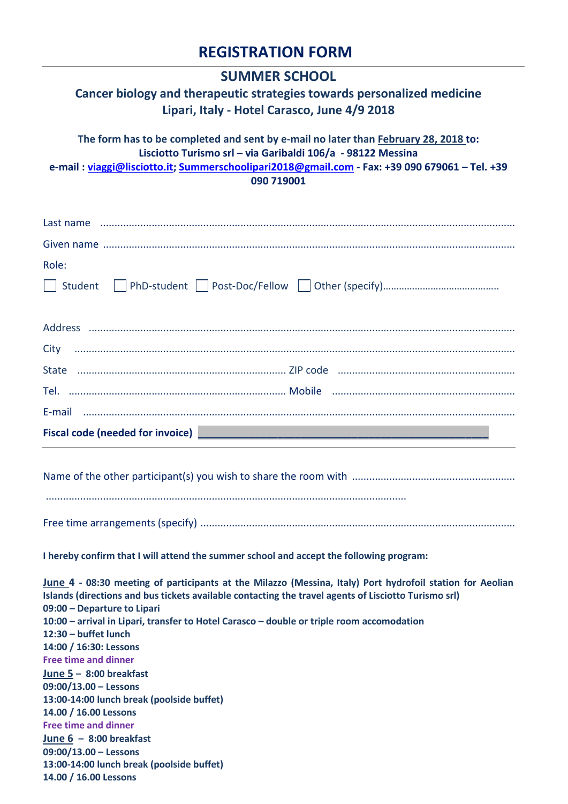## **REGISTRATION FORM**

| <b>SUMMER SCHOOL</b>                                                                                                                                                                                                                                                                                                                                                                                                                                                                                                                                                                                                                                |
|-----------------------------------------------------------------------------------------------------------------------------------------------------------------------------------------------------------------------------------------------------------------------------------------------------------------------------------------------------------------------------------------------------------------------------------------------------------------------------------------------------------------------------------------------------------------------------------------------------------------------------------------------------|
| Cancer biology and therapeutic strategies towards personalized medicine<br>Lipari, Italy - Hotel Carasco, June 4/9 2018                                                                                                                                                                                                                                                                                                                                                                                                                                                                                                                             |
| The form has to be completed and sent by e-mail no later than February 28, 2018 to:<br>Lisciotto Turismo srl - via Garibaldi 106/a - 98122 Messina<br>e-mail: viaggi@lisciotto.it; Summerschoolipari2018@gmail.com - Fax: +39 090 679061 - Tel. +39<br>090 719001                                                                                                                                                                                                                                                                                                                                                                                   |
|                                                                                                                                                                                                                                                                                                                                                                                                                                                                                                                                                                                                                                                     |
|                                                                                                                                                                                                                                                                                                                                                                                                                                                                                                                                                                                                                                                     |
| Role:                                                                                                                                                                                                                                                                                                                                                                                                                                                                                                                                                                                                                                               |
|                                                                                                                                                                                                                                                                                                                                                                                                                                                                                                                                                                                                                                                     |
|                                                                                                                                                                                                                                                                                                                                                                                                                                                                                                                                                                                                                                                     |
|                                                                                                                                                                                                                                                                                                                                                                                                                                                                                                                                                                                                                                                     |
|                                                                                                                                                                                                                                                                                                                                                                                                                                                                                                                                                                                                                                                     |
|                                                                                                                                                                                                                                                                                                                                                                                                                                                                                                                                                                                                                                                     |
|                                                                                                                                                                                                                                                                                                                                                                                                                                                                                                                                                                                                                                                     |
| Fiscal code (needed for invoice)                                                                                                                                                                                                                                                                                                                                                                                                                                                                                                                                                                                                                    |
|                                                                                                                                                                                                                                                                                                                                                                                                                                                                                                                                                                                                                                                     |
|                                                                                                                                                                                                                                                                                                                                                                                                                                                                                                                                                                                                                                                     |
| I hereby confirm that I will attend the summer school and accept the following program:                                                                                                                                                                                                                                                                                                                                                                                                                                                                                                                                                             |
| June 4 - 08:30 meeting of participants at the Milazzo (Messina, Italy) Port hydrofoil station for Aeolian<br>Islands (directions and bus tickets available contacting the travel agents of Lisciotto Turismo srl)<br>09:00 - Departure to Lipari<br>10:00 - arrival in Lipari, transfer to Hotel Carasco - double or triple room accomodation<br>12:30 - buffet lunch<br>14:00 / 16:30: Lessons<br><b>Free time and dinner</b><br>June $5 - 8:00$ breakfast<br>$09:00/13.00 -$ Lessons<br>13:00-14:00 lunch break (poolside buffet)<br>14.00 / 16.00 Lessons<br><b>Free time and dinner</b><br>June $6 - 8:00$ breakfast<br>$09:00/13.00 -$ Lessons |
| 13:00-14:00 lunch break (poolside buffet)<br>14.00 / 16.00 Lessons                                                                                                                                                                                                                                                                                                                                                                                                                                                                                                                                                                                  |